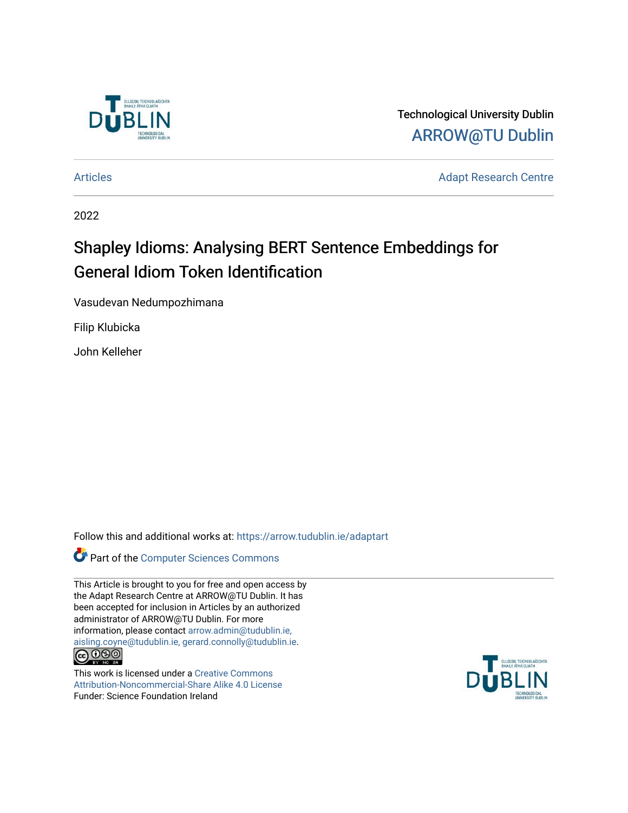

Technological University Dublin [ARROW@TU Dublin](https://arrow.tudublin.ie/) 

[Articles](https://arrow.tudublin.ie/adaptart) **Adapt Research Centre** 

2022

# Shapley Idioms: Analysing BERT Sentence Embeddings for General Idiom Token Identification

Vasudevan Nedumpozhimana

Filip Klubicka

John Kelleher

Follow this and additional works at: [https://arrow.tudublin.ie/adaptart](https://arrow.tudublin.ie/adaptart?utm_source=arrow.tudublin.ie%2Fadaptart%2F2&utm_medium=PDF&utm_campaign=PDFCoverPages) 

Part of the [Computer Sciences Commons](https://network.bepress.com/hgg/discipline/142?utm_source=arrow.tudublin.ie%2Fadaptart%2F2&utm_medium=PDF&utm_campaign=PDFCoverPages)

This Article is brought to you for free and open access by the Adapt Research Centre at ARROW@TU Dublin. It has been accepted for inclusion in Articles by an authorized administrator of ARROW@TU Dublin. For more information, please contact [arrow.admin@tudublin.ie,](mailto:arrow.admin@tudublin.ie,%20aisling.coyne@tudublin.ie,%20gerard.connolly@tudublin.ie)  [aisling.coyne@tudublin.ie, gerard.connolly@tudublin.ie](mailto:arrow.admin@tudublin.ie,%20aisling.coyne@tudublin.ie,%20gerard.connolly@tudublin.ie).<br>
co 000

This work is licensed under a [Creative Commons](http://creativecommons.org/licenses/by-nc-sa/4.0/) [Attribution-Noncommercial-Share Alike 4.0 License](http://creativecommons.org/licenses/by-nc-sa/4.0/) Funder: Science Foundation Ireland

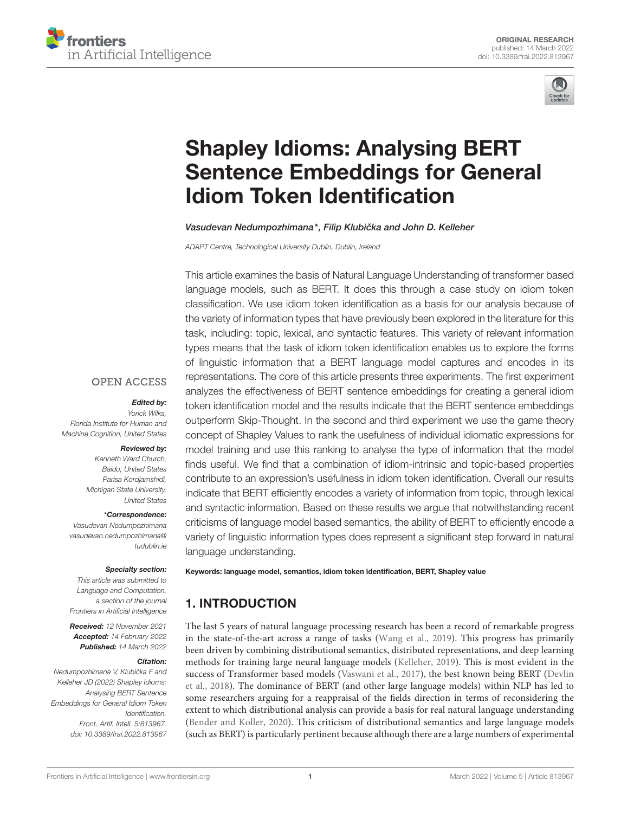



# Shapley Idioms: Analysing BERT [Sentence Embeddings for General](https://www.frontiersin.org/articles/10.3389/frai.2022.813967/full) Idiom Token Identification

Vasudevan Nedumpozhimana\*, Filip Klubička and John D. Kelleher

*ADAPT Centre, Technological University Dublin, Dublin, Ireland*

This article examines the basis of Natural Language Understanding of transformer based language models, such as BERT. It does this through a case study on idiom token classification. We use idiom token identification as a basis for our analysis because of the variety of information types that have previously been explored in the literature for this task, including: topic, lexical, and syntactic features. This variety of relevant information types means that the task of idiom token identification enables us to explore the forms of linguistic information that a BERT language model captures and encodes in its representations. The core of this article presents three experiments. The first experiment analyzes the effectiveness of BERT sentence embeddings for creating a general idiom token identification model and the results indicate that the BERT sentence embeddings outperform Skip-Thought. In the second and third experiment we use the game theory concept of Shapley Values to rank the usefulness of individual idiomatic expressions for model training and use this ranking to analyse the type of information that the model finds useful. We find that a combination of idiom-intrinsic and topic-based properties contribute to an expression's usefulness in idiom token identification. Overall our results indicate that BERT efficiently encodes a variety of information from topic, through lexical and syntactic information. Based on these results we argue that notwithstanding recent criticisms of language model based semantics, the ability of BERT to efficiently encode a variety of linguistic information types does represent a significant step forward in natural language understanding.

Keywords: language model, semantics, idiom token identification, BERT, Shapley value

# 1. INTRODUCTION

The last 5 years of natural language processing research has been a record of remarkable progress in the state-of-the-art across a range of tasks [\(Wang et al., 2019\)](#page-11-0). This progress has primarily been driven by combining distributional semantics, distributed representations, and deep learning methods for training large neural language models [\(Kelleher, 2019\)](#page-11-1). This is most evident in the success of Transformer based models [\(Vaswani et al., 2017\)](#page-11-2), the best known being BERT (Devlin et al., [2018\)](#page-10-0). The dominance of BERT (and other large language models) within NLP has led to some researchers arguing for a reappraisal of the fields direction in terms of reconsidering the extent to which distributional analysis can provide a basis for real natural language understanding [\(Bender and Koller, 2020\)](#page-10-1). This criticism of distributional semantics and large language models (such as BERT) is particularly pertinent because although there are a large numbers of experimental

#### **OPEN ACCESS**

#### Edited by:

*Yorick Wilks, Florida Institute for Human and Machine Cognition, United States*

#### Reviewed by:

*Kenneth Ward Church, Baidu, United States Parisa Kordjamshidi, Michigan State University, United States*

#### \*Correspondence:

*Vasudevan Nedumpozhimana [vasudevan.nedumpozhimana@](mailto:vasudevan.nedumpozhimana@tudublin.ie) [tudublin.ie](mailto:vasudevan.nedumpozhimana@tudublin.ie)*

#### Specialty section:

*This article was submitted to Language and Computation, a section of the journal Frontiers in Artificial Intelligence*

Received: *12 November 2021* Accepted: *14 February 2022* Published: *14 March 2022*

#### Citation:

*Nedumpozhimana V, Klubicka F and ˇ Kelleher JD (2022) Shapley Idioms: Analysing BERT Sentence Embeddings for General Idiom Token Identification. Front. Artif. Intell. 5:813967. doi: [10.3389/frai.2022.813967](https://doi.org/10.3389/frai.2022.813967)*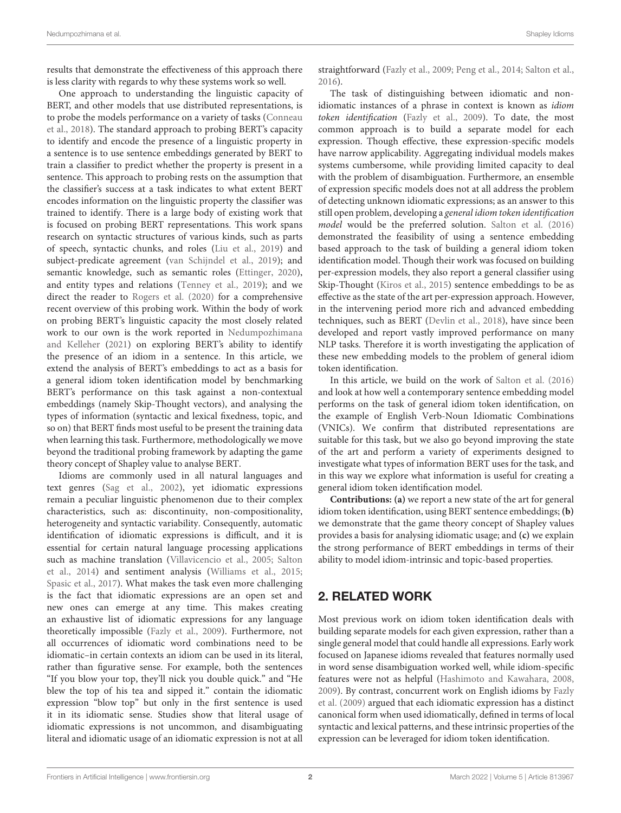results that demonstrate the effectiveness of this approach there is less clarity with regards to why these systems work so well.

One approach to understanding the linguistic capacity of BERT, and other models that use distributed representations, is to probe the models performance on a variety of tasks (Conneau et al., [2018\)](#page-10-2). The standard approach to probing BERT's capacity to identify and encode the presence of a linguistic property in a sentence is to use sentence embeddings generated by BERT to train a classifier to predict whether the property is present in a sentence. This approach to probing rests on the assumption that the classifier's success at a task indicates to what extent BERT encodes information on the linguistic property the classifier was trained to identify. There is a large body of existing work that is focused on probing BERT representations. This work spans research on syntactic structures of various kinds, such as parts of speech, syntactic chunks, and roles [\(Liu et al., 2019\)](#page-11-3) and subject-predicate agreement [\(van Schijndel et al., 2019\)](#page-11-4); and semantic knowledge, such as semantic roles [\(Ettinger, 2020\)](#page-10-3), and entity types and relations [\(Tenney et al., 2019\)](#page-11-5); and we direct the reader to [Rogers et al. \(2020\)](#page-11-6) for a comprehensive recent overview of this probing work. Within the body of work on probing BERT's linguistic capacity the most closely related work to our own is the work reported in Nedumpozhimana and Kelleher [\(2021\)](#page-11-7) on exploring BERT's ability to identify the presence of an idiom in a sentence. In this article, we extend the analysis of BERT's embeddings to act as a basis for a general idiom token identification model by benchmarking BERT's performance on this task against a non-contextual embeddings (namely Skip-Thought vectors), and analysing the types of information (syntactic and lexical fixedness, topic, and so on) that BERT finds most useful to be present the training data when learning this task. Furthermore, methodologically we move beyond the traditional probing framework by adapting the game theory concept of Shapley value to analyse BERT.

Idioms are commonly used in all natural languages and text genres [\(Sag et al., 2002\)](#page-11-8), yet idiomatic expressions remain a peculiar linguistic phenomenon due to their complex characteristics, such as: discontinuity, non-compositionality, heterogeneity and syntactic variability. Consequently, automatic identification of idiomatic expressions is difficult, and it is essential for certain natural language processing applications such as machine translation [\(Villavicencio et al., 2005;](#page-11-9) Salton et al., [2014\)](#page-11-10) and sentiment analysis [\(Williams et al., 2015;](#page-11-11) [Spasic et al., 2017\)](#page-11-12). What makes the task even more challenging is the fact that idiomatic expressions are an open set and new ones can emerge at any time. This makes creating an exhaustive list of idiomatic expressions for any language theoretically impossible [\(Fazly et al., 2009\)](#page-10-4). Furthermore, not all occurrences of idiomatic word combinations need to be idiomatic–in certain contexts an idiom can be used in its literal, rather than figurative sense. For example, both the sentences "If you blow your top, they'll nick you double quick." and "He blew the top of his tea and sipped it." contain the idiomatic expression "blow top" but only in the first sentence is used it in its idiomatic sense. Studies show that literal usage of idiomatic expressions is not uncommon, and disambiguating literal and idiomatic usage of an idiomatic expression is not at all straightforward [\(Fazly et al., 2009;](#page-10-4) [Peng et al., 2014;](#page-11-13) [Salton et al.,](#page-11-14) [2016\)](#page-11-14).

The task of distinguishing between idiomatic and nonidiomatic instances of a phrase in context is known as idiom token identification [\(Fazly et al., 2009\)](#page-10-4). To date, the most common approach is to build a separate model for each expression. Though effective, these expression-specific models have narrow applicability. Aggregating individual models makes systems cumbersome, while providing limited capacity to deal with the problem of disambiguation. Furthermore, an ensemble of expression specific models does not at all address the problem of detecting unknown idiomatic expressions; as an answer to this still open problem, developing a general idiom token identification model would be the preferred solution. [Salton et al. \(2016\)](#page-11-14) demonstrated the feasibility of using a sentence embedding based approach to the task of building a general idiom token identification model. Though their work was focused on building per-expression models, they also report a general classifier using Skip-Thought [\(Kiros et al., 2015\)](#page-11-15) sentence embeddings to be as effective as the state of the art per-expression approach. However, in the intervening period more rich and advanced embedding techniques, such as BERT [\(Devlin et al., 2018\)](#page-10-0), have since been developed and report vastly improved performance on many NLP tasks. Therefore it is worth investigating the application of these new embedding models to the problem of general idiom token identification.

In this article, we build on the work of [Salton et al. \(2016\)](#page-11-14) and look at how well a contemporary sentence embedding model performs on the task of general idiom token identification, on the example of English Verb-Noun Idiomatic Combinations (VNICs). We confirm that distributed representations are suitable for this task, but we also go beyond improving the state of the art and perform a variety of experiments designed to investigate what types of information BERT uses for the task, and in this way we explore what information is useful for creating a general idiom token identification model.

**Contributions: (a)** we report a new state of the art for general idiom token identification, using BERT sentence embeddings; **(b)** we demonstrate that the game theory concept of Shapley values provides a basis for analysing idiomatic usage; and **(c)** we explain the strong performance of BERT embeddings in terms of their ability to model idiom-intrinsic and topic-based properties.

# 2. RELATED WORK

Most previous work on idiom token identification deals with building separate models for each given expression, rather than a single general model that could handle all expressions. Early work focused on Japanese idioms revealed that features normally used in word sense disambiguation worked well, while idiom-specific features were not as helpful [\(Hashimoto and Kawahara, 2008,](#page-11-16) [2009\)](#page-11-17). By contrast, concurrent work on English idioms by Fazly et al. [\(2009\)](#page-10-4) argued that each idiomatic expression has a distinct canonical form when used idiomatically, defined in terms of local syntactic and lexical patterns, and these intrinsic properties of the expression can be leveraged for idiom token identification.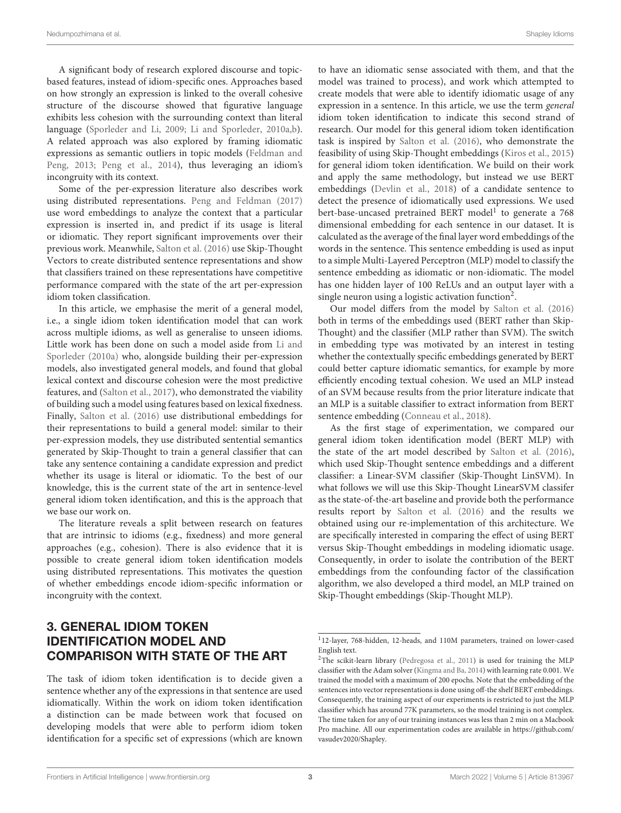A significant body of research explored discourse and topicbased features, instead of idiom-specific ones. Approaches based on how strongly an expression is linked to the overall cohesive structure of the discourse showed that figurative language exhibits less cohesion with the surrounding context than literal language [\(Sporleder and Li, 2009;](#page-11-18) [Li and Sporleder, 2010a,](#page-11-19)[b\)](#page-11-20). A related approach was also explored by framing idiomatic expressions as semantic outliers in topic models (Feldman and Peng, [2013;](#page-10-5) [Peng et al., 2014\)](#page-11-13), thus leveraging an idiom's incongruity with its context.

Some of the per-expression literature also describes work using distributed representations. [Peng and Feldman \(2017\)](#page-11-21) use word embeddings to analyze the context that a particular expression is inserted in, and predict if its usage is literal or idiomatic. They report significant improvements over their previous work. Meanwhile, [Salton et al. \(2016\)](#page-11-14) use Skip-Thought Vectors to create distributed sentence representations and show that classifiers trained on these representations have competitive performance compared with the state of the art per-expression idiom token classification.

In this article, we emphasise the merit of a general model, i.e., a single idiom token identification model that can work across multiple idioms, as well as generalise to unseen idioms. Little work has been done on such a model aside from Li and Sporleder [\(2010a\)](#page-11-19) who, alongside building their per-expression models, also investigated general models, and found that global lexical context and discourse cohesion were the most predictive features, and [\(Salton et al., 2017\)](#page-11-22), who demonstrated the viability of building such a model using features based on lexical fixedness. Finally, [Salton et al. \(2016\)](#page-11-14) use distributional embeddings for their representations to build a general model: similar to their per-expression models, they use distributed sentential semantics generated by Skip-Thought to train a general classifier that can take any sentence containing a candidate expression and predict whether its usage is literal or idiomatic. To the best of our knowledge, this is the current state of the art in sentence-level general idiom token identification, and this is the approach that we base our work on.

The literature reveals a split between research on features that are intrinsic to idioms (e.g., fixedness) and more general approaches (e.g., cohesion). There is also evidence that it is possible to create general idiom token identification models using distributed representations. This motivates the question of whether embeddings encode idiom-specific information or incongruity with the context.

to have an idiomatic sense associated with them, and that the model was trained to process), and work which attempted to create models that were able to identify idiomatic usage of any expression in a sentence. In this article, we use the term general idiom token identification to indicate this second strand of research. Our model for this general idiom token identification task is inspired by [Salton et al. \(2016\)](#page-11-14), who demonstrate the feasibility of using Skip-Thought embeddings [\(Kiros et al., 2015\)](#page-11-15) for general idiom token identification. We build on their work and apply the same methodology, but instead we use BERT embeddings [\(Devlin et al., 2018\)](#page-10-0) of a candidate sentence to detect the presence of idiomatically used expressions. We used bert-base-uncased pretrained BERT model<sup>[1](#page-3-0)</sup> to generate a 768 dimensional embedding for each sentence in our dataset. It is calculated as the average of the final layer word embeddings of the words in the sentence. This sentence embedding is used as input to a simple Multi-Layered Perceptron (MLP) model to classify the sentence embedding as idiomatic or non-idiomatic. The model has one hidden layer of 100 ReLUs and an output layer with a single neuron using a logistic activation function<sup>[2](#page-3-1)</sup>.

Our model differs from the model by [Salton et al. \(2016\)](#page-11-14) both in terms of the embeddings used (BERT rather than Skip-Thought) and the classifier (MLP rather than SVM). The switch in embedding type was motivated by an interest in testing whether the contextually specific embeddings generated by BERT could better capture idiomatic semantics, for example by more efficiently encoding textual cohesion. We used an MLP instead of an SVM because results from the prior literature indicate that an MLP is a suitable classifier to extract information from BERT sentence embedding [\(Conneau et al., 2018\)](#page-10-2).

As the first stage of experimentation, we compared our general idiom token identification model (BERT MLP) with the state of the art model described by [Salton et al. \(2016\)](#page-11-14), which used Skip-Thought sentence embeddings and a different classifier: a Linear-SVM classifier (Skip-Thought LinSVM). In what follows we will use this Skip-Thought LinearSVM classifer as the state-of-the-art baseline and provide both the performance results report by [Salton et al. \(2016\)](#page-11-14) and the results we obtained using our re-implementation of this architecture. We are specifically interested in comparing the effect of using BERT versus Skip-Thought embeddings in modeling idiomatic usage. Consequently, in order to isolate the contribution of the BERT embeddings from the confounding factor of the classification algorithm, we also developed a third model, an MLP trained on Skip-Thought embeddings (Skip-Thought MLP).

# 3. GENERAL IDIOM TOKEN IDENTIFICATION MODEL AND COMPARISON WITH STATE OF THE ART

The task of idiom token identification is to decide given a sentence whether any of the expressions in that sentence are used idiomatically. Within the work on idiom token identification a distinction can be made between work that focused on developing models that were able to perform idiom token identification for a specific set of expressions (which are known

<span id="page-3-0"></span><sup>1</sup> 12-layer, 768-hidden, 12-heads, and 110M parameters, trained on lower-cased English text.

<span id="page-3-1"></span><sup>2</sup>The scikit-learn library [\(Pedregosa et al., 2011\)](#page-11-23) is used for training the MLP classifier with the Adam solver [\(Kingma and Ba, 2014\)](#page-11-24) with learning rate 0.001. We trained the model with a maximum of 200 epochs. Note that the embedding of the sentences into vector representations is done using off-the shelf BERT embeddings. Consequently, the training aspect of our experiments is restricted to just the MLP classifier which has around 77K parameters, so the model training is not complex. The time taken for any of our training instances was less than 2 min on a Macbook Pro machine. All our experimentation codes are available in [https://github.com/](https://github.com/vasudev2020/Shapley) [vasudev2020/Shapley.](https://github.com/vasudev2020/Shapley)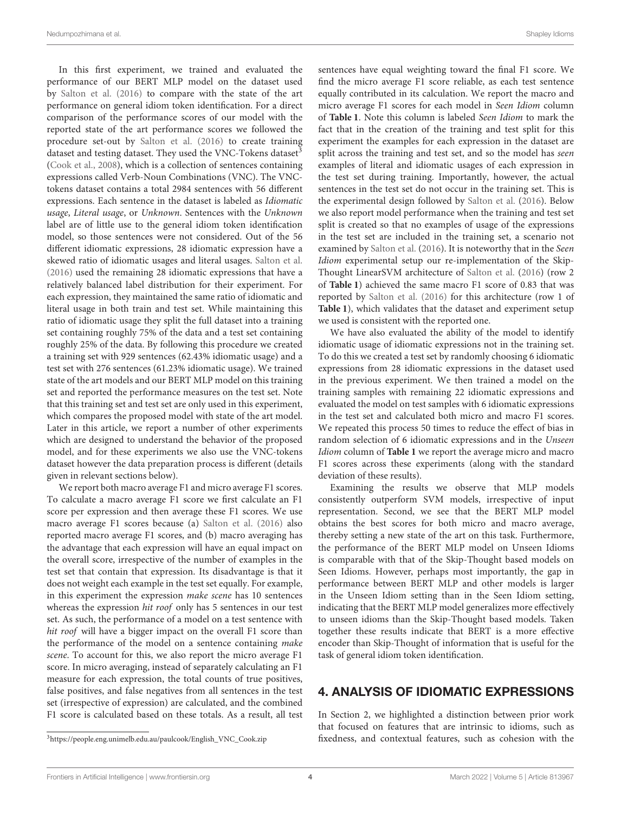In this first experiment, we trained and evaluated the performance of our BERT MLP model on the dataset used by [Salton et al. \(2016\)](#page-11-14) to compare with the state of the art performance on general idiom token identification. For a direct comparison of the performance scores of our model with the reported state of the art performance scores we followed the procedure set-out by [Salton et al. \(2016\)](#page-11-14) to create training dataset and testing dataset. They used the VNC-Tokens dataset<sup>[3](#page-4-0)</sup> [\(Cook et al., 2008\)](#page-10-6), which is a collection of sentences containing expressions called Verb-Noun Combinations (VNC). The VNCtokens dataset contains a total 2984 sentences with 56 different expressions. Each sentence in the dataset is labeled as Idiomatic usage, Literal usage, or Unknown. Sentences with the Unknown label are of little use to the general idiom token identification model, so those sentences were not considered. Out of the 56 different idiomatic expressions, 28 idiomatic expression have a skewed ratio of idiomatic usages and literal usages. [Salton et al.](#page-11-14) [\(2016\)](#page-11-14) used the remaining 28 idiomatic expressions that have a relatively balanced label distribution for their experiment. For each expression, they maintained the same ratio of idiomatic and literal usage in both train and test set. While maintaining this ratio of idiomatic usage they split the full dataset into a training set containing roughly 75% of the data and a test set containing roughly 25% of the data. By following this procedure we created a training set with 929 sentences (62.43% idiomatic usage) and a test set with 276 sentences (61.23% idiomatic usage). We trained state of the art models and our BERT MLP model on this training set and reported the performance measures on the test set. Note that this training set and test set are only used in this experiment, which compares the proposed model with state of the art model. Later in this article, we report a number of other experiments which are designed to understand the behavior of the proposed model, and for these experiments we also use the VNC-tokens dataset however the data preparation process is different (details given in relevant sections below).

We report both macro average F1 and micro average F1 scores. To calculate a macro average F1 score we first calculate an F1 score per expression and then average these F1 scores. We use macro average F1 scores because (a) [Salton et al. \(2016\)](#page-11-14) also reported macro average F1 scores, and (b) macro averaging has the advantage that each expression will have an equal impact on the overall score, irrespective of the number of examples in the test set that contain that expression. Its disadvantage is that it does not weight each example in the test set equally. For example, in this experiment the expression make scene has 10 sentences whereas the expression hit roof only has 5 sentences in our test set. As such, the performance of a model on a test sentence with hit roof will have a bigger impact on the overall F1 score than the performance of the model on a sentence containing make scene. To account for this, we also report the micro average F1 score. In micro averaging, instead of separately calculating an F1 measure for each expression, the total counts of true positives, false positives, and false negatives from all sentences in the test set (irrespective of expression) are calculated, and the combined F1 score is calculated based on these totals. As a result, all test sentences have equal weighting toward the final F1 score. We find the micro average F1 score reliable, as each test sentence equally contributed in its calculation. We report the macro and micro average F1 scores for each model in Seen Idiom column of **[Table 1](#page-5-0)**. Note this column is labeled Seen Idiom to mark the fact that in the creation of the training and test split for this experiment the examples for each expression in the dataset are split across the training and test set, and so the model has seen examples of literal and idiomatic usages of each expression in the test set during training. Importantly, however, the actual sentences in the test set do not occur in the training set. This is the experimental design followed by [Salton et al.](#page-11-14) [\(2016\)](#page-11-14). Below we also report model performance when the training and test set split is created so that no examples of usage of the expressions in the test set are included in the training set, a scenario not examined by [Salton et al.](#page-11-14) [\(2016\)](#page-11-14). It is noteworthy that in the Seen Idiom experimental setup our re-implementation of the Skip-Thought LinearSVM architecture of [Salton et al.](#page-11-14) [\(2016\)](#page-11-14) (row 2 of **[Table 1](#page-5-0)**) achieved the same macro F1 score of 0.83 that was reported by [Salton et al. \(2016\)](#page-11-14) for this architecture (row 1 of **[Table 1](#page-5-0)**), which validates that the dataset and experiment setup we used is consistent with the reported one.

We have also evaluated the ability of the model to identify idiomatic usage of idiomatic expressions not in the training set. To do this we created a test set by randomly choosing 6 idiomatic expressions from 28 idiomatic expressions in the dataset used in the previous experiment. We then trained a model on the training samples with remaining 22 idiomatic expressions and evaluated the model on test samples with 6 idiomatic expressions in the test set and calculated both micro and macro F1 scores. We repeated this process 50 times to reduce the effect of bias in random selection of 6 idiomatic expressions and in the Unseen Idiom column of **[Table 1](#page-5-0)** we report the average micro and macro F1 scores across these experiments (along with the standard deviation of these results).

Examining the results we observe that MLP models consistently outperform SVM models, irrespective of input representation. Second, we see that the BERT MLP model obtains the best scores for both micro and macro average, thereby setting a new state of the art on this task. Furthermore, the performance of the BERT MLP model on Unseen Idioms is comparable with that of the Skip-Thought based models on Seen Idioms. However, perhaps most importantly, the gap in performance between BERT MLP and other models is larger in the Unseen Idiom setting than in the Seen Idiom setting, indicating that the BERT MLP model generalizes more effectively to unseen idioms than the Skip-Thought based models. Taken together these results indicate that BERT is a more effective encoder than Skip-Thought of information that is useful for the task of general idiom token identification.

# 4. ANALYSIS OF IDIOMATIC EXPRESSIONS

In Section 2, we highlighted a distinction between prior work that focused on features that are intrinsic to idioms, such as fixedness, and contextual features, such as cohesion with the

<span id="page-4-0"></span><sup>3</sup>[https://people.eng.unimelb.edu.au/paulcook/English\\_VNC\\_Cook.zip](https://people.eng.unimelb.edu.au/paulcook/English_VNC_Cook.zip)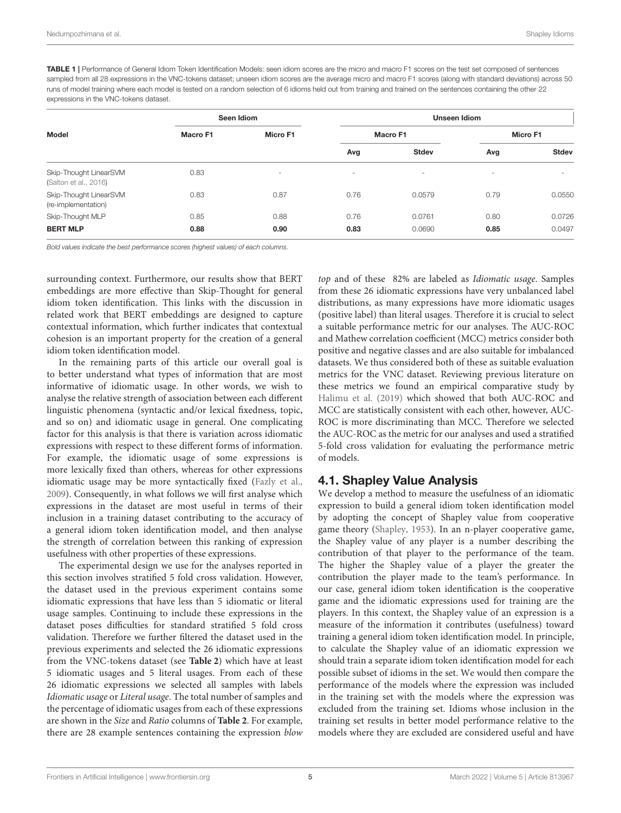<span id="page-5-0"></span>TABLE 1 | Performance of General Idiom Token Identification Models: seen idiom scores are the micro and macro F1 scores on the test set composed of sentences sampled from all 28 expressions in the VNC-tokens dataset; unseen idiom scores are the average micro and macro F1 scores (along with standard deviations) across 50 runs of model training where each model is tested on a random selection of 6 idioms held out from training and trained on the sentences containing the other 22 expressions in the VNC-tokens dataset.

| Model                                           | Seen Idiom |                          | Unseen Idiom             |                 |                          |                          |  |  |
|-------------------------------------------------|------------|--------------------------|--------------------------|-----------------|--------------------------|--------------------------|--|--|
|                                                 | Macro F1   | <b>Micro F1</b>          |                          | <b>Macro F1</b> | Micro F1                 |                          |  |  |
|                                                 |            |                          | Avg                      | <b>Stdev</b>    | Avg                      | <b>Stdev</b>             |  |  |
| Skip-Thought LinearSVM<br>(Salton et al., 2016) | 0.83       | $\overline{\phantom{a}}$ | $\overline{\phantom{a}}$ | $\sim$          | $\overline{\phantom{a}}$ | $\overline{\phantom{a}}$ |  |  |
| Skip-Thought LinearSVM<br>(re-implementation)   | 0.83       | 0.87                     | 0.76                     | 0.0579          | 0.79                     | 0.0550                   |  |  |
| Skip-Thought MLP                                | 0.85       | 0.88                     | 0.76                     | 0.0761          | 0.80                     | 0.0726                   |  |  |
| <b>BERT MLP</b>                                 | 0.88       | 0.90                     | 0.83                     | 0.0690          | 0.85                     | 0.0497                   |  |  |

*Bold values indicate the best performance scores (highest values) of each columns.*

surrounding context. Furthermore, our results show that BERT embeddings are more effective than Skip-Thought for general idiom token identification. This links with the discussion in related work that BERT embeddings are designed to capture contextual information, which further indicates that contextual cohesion is an important property for the creation of a general idiom token identification model.

In the remaining parts of this article our overall goal is to better understand what types of information that are most informative of idiomatic usage. In other words, we wish to analyse the relative strength of association between each different linguistic phenomena (syntactic and/or lexical fixedness, topic, and so on) and idiomatic usage in general. One complicating factor for this analysis is that there is variation across idiomatic expressions with respect to these different forms of information. For example, the idiomatic usage of some expressions is more lexically fixed than others, whereas for other expressions idiomatic usage may be more syntactically fixed [\(Fazly et al.,](#page-10-4) [2009\)](#page-10-4). Consequently, in what follows we will first analyse which expressions in the dataset are most useful in terms of their inclusion in a training dataset contributing to the accuracy of a general idiom token identification model, and then analyse the strength of correlation between this ranking of expression usefulness with other properties of these expressions.

The experimental design we use for the analyses reported in this section involves stratified 5 fold cross validation. However, the dataset used in the previous experiment contains some idiomatic expressions that have less than 5 idiomatic or literal usage samples. Continuing to include these expressions in the dataset poses difficulties for standard stratified 5 fold cross validation. Therefore we further filtered the dataset used in the previous experiments and selected the 26 idiomatic expressions from the VNC-tokens dataset (see **[Table 2](#page-6-0)**) which have at least 5 idiomatic usages and 5 literal usages. From each of these 26 idiomatic expressions we selected all samples with labels Idiomatic usage or Literal usage. The total number of samples and the percentage of idiomatic usages from each of these expressions are shown in the Size and Ratio columns of **[Table 2](#page-6-0)**. For example, there are 28 example sentences containing the expression blow top and of these 82% are labeled as Idiomatic usage. Samples from these 26 idiomatic expressions have very unbalanced label distributions, as many expressions have more idiomatic usages (positive label) than literal usages. Therefore it is crucial to select a suitable performance metric for our analyses. The AUC-ROC and Mathew correlation coefficient (MCC) metrics consider both positive and negative classes and are also suitable for imbalanced datasets. We thus considered both of these as suitable evaluation metrics for the VNC dataset. Reviewing previous literature on these metrics we found an empirical comparative study by [Halimu et al. \(2019\)](#page-10-7) which showed that both AUC-ROC and MCC are statistically consistent with each other, however, AUC-ROC is more discriminating than MCC. Therefore we selected the AUC-ROC as the metric for our analyses and used a stratified 5-fold cross validation for evaluating the performance metric of models.

#### 4.1. Shapley Value Analysis

We develop a method to measure the usefulness of an idiomatic expression to build a general idiom token identification model by adopting the concept of Shapley value from cooperative game theory [\(Shapley, 1953\)](#page-11-25). In an n-player cooperative game, the Shapley value of any player is a number describing the contribution of that player to the performance of the team. The higher the Shapley value of a player the greater the contribution the player made to the team's performance. In our case, general idiom token identification is the cooperative game and the idiomatic expressions used for training are the players. In this context, the Shapley value of an expression is a measure of the information it contributes (usefulness) toward training a general idiom token identification model. In principle, to calculate the Shapley value of an idiomatic expression we should train a separate idiom token identification model for each possible subset of idioms in the set. We would then compare the performance of the models where the expression was included in the training set with the models where the expression was excluded from the training set. Idioms whose inclusion in the training set results in better model performance relative to the models where they are excluded are considered useful and have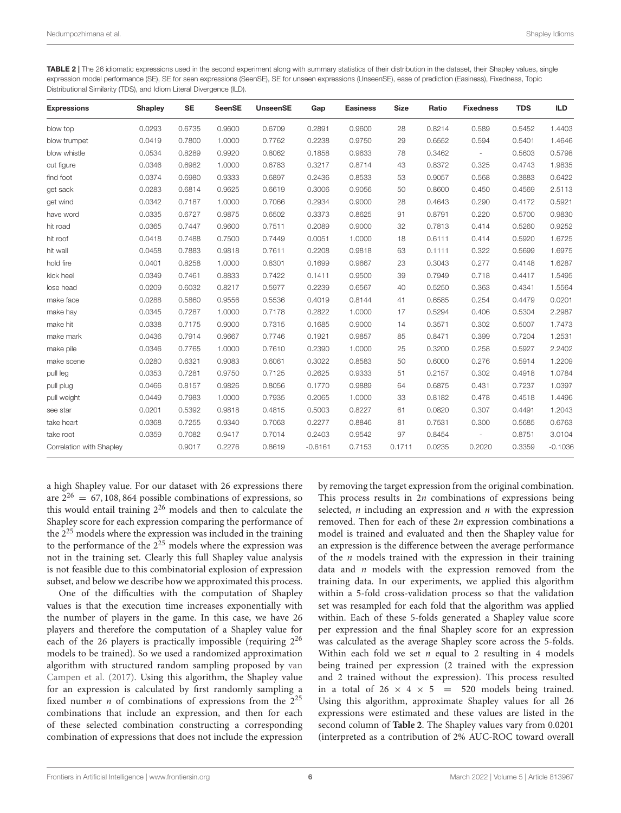<span id="page-6-0"></span>TABLE 2 | The 26 idiomatic expressions used in the second experiment along with summary statistics of their distribution in the dataset, their Shapley values, single expression model performance (SE), SE for seen expressions (SeenSE), SE for unseen expressions (UnseenSE), ease of prediction (Easiness), Fixedness, Topic Distributional Similarity (TDS), and Idiom Literal Divergence (ILD).

| <b>Expressions</b>       | <b>Shapley</b> | <b>SE</b> | <b>SeenSE</b> | <b>UnseenSE</b> | Gap       | <b>Easiness</b> | <b>Size</b> | Ratio  | <b>Fixedness</b>         | <b>TDS</b> | <b>ILD</b> |
|--------------------------|----------------|-----------|---------------|-----------------|-----------|-----------------|-------------|--------|--------------------------|------------|------------|
| blow top                 | 0.0293         | 0.6735    | 0.9600        | 0.6709          | 0.2891    | 0.9600          | 28          | 0.8214 | 0.589                    | 0.5452     | 1.4403     |
| blow trumpet             | 0.0419         | 0.7800    | 1.0000        | 0.7762          | 0.2238    | 0.9750          | 29          | 0.6552 | 0.594                    | 0.5401     | 1.4646     |
| blow whistle             | 0.0534         | 0.8289    | 0.9920        | 0.8062          | 0.1858    | 0.9633          | 78          | 0.3462 | $\overline{\phantom{a}}$ | 0.5603     | 0.5798     |
| cut figure               | 0.0346         | 0.6982    | 1.0000        | 0.6783          | 0.3217    | 0.8714          | 43          | 0.8372 | 0.325                    | 0.4743     | 1.9835     |
| find foot                | 0.0374         | 0.6980    | 0.9333        | 0.6897          | 0.2436    | 0.8533          | 53          | 0.9057 | 0.568                    | 0.3883     | 0.6422     |
| get sack                 | 0.0283         | 0.6814    | 0.9625        | 0.6619          | 0.3006    | 0.9056          | 50          | 0.8600 | 0.450                    | 0.4569     | 2.5113     |
| get wind                 | 0.0342         | 0.7187    | 1.0000        | 0.7066          | 0.2934    | 0.9000          | 28          | 0.4643 | 0.290                    | 0.4172     | 0.5921     |
| have word                | 0.0335         | 0.6727    | 0.9875        | 0.6502          | 0.3373    | 0.8625          | 91          | 0.8791 | 0.220                    | 0.5700     | 0.9830     |
| hit road                 | 0.0365         | 0.7447    | 0.9600        | 0.7511          | 0.2089    | 0.9000          | 32          | 0.7813 | 0.414                    | 0.5260     | 0.9252     |
| hit roof                 | 0.0418         | 0.7488    | 0.7500        | 0.7449          | 0.0051    | 1.0000          | 18          | 0.6111 | 0.414                    | 0.5920     | 1.6725     |
| hit wall                 | 0.0458         | 0.7883    | 0.9818        | 0.7611          | 0.2208    | 0.9818          | 63          | 0.1111 | 0.322                    | 0.5699     | 1.6975     |
| hold fire                | 0.0401         | 0.8258    | 1.0000        | 0.8301          | 0.1699    | 0.9667          | 23          | 0.3043 | 0.277                    | 0.4148     | 1.6287     |
| kick heel                | 0.0349         | 0.7461    | 0.8833        | 0.7422          | 0.1411    | 0.9500          | 39          | 0.7949 | 0.718                    | 0.4417     | 1.5495     |
| lose head                | 0.0209         | 0.6032    | 0.8217        | 0.5977          | 0.2239    | 0.6567          | 40          | 0.5250 | 0.363                    | 0.4341     | 1.5564     |
| make face                | 0.0288         | 0.5860    | 0.9556        | 0.5536          | 0.4019    | 0.8144          | 41          | 0.6585 | 0.254                    | 0.4479     | 0.0201     |
| make hay                 | 0.0345         | 0.7287    | 1.0000        | 0.7178          | 0.2822    | 1.0000          | 17          | 0.5294 | 0.406                    | 0.5304     | 2.2987     |
| make hit                 | 0.0338         | 0.7175    | 0.9000        | 0.7315          | 0.1685    | 0.9000          | 14          | 0.3571 | 0.302                    | 0.5007     | 1.7473     |
| make mark                | 0.0436         | 0.7914    | 0.9667        | 0.7746          | 0.1921    | 0.9857          | 85          | 0.8471 | 0.399                    | 0.7204     | 1.2531     |
| make pile                | 0.0346         | 0.7765    | 1.0000        | 0.7610          | 0.2390    | 1.0000          | 25          | 0.3200 | 0.258                    | 0.5927     | 2.2402     |
| make scene               | 0.0280         | 0.6321    | 0.9083        | 0.6061          | 0.3022    | 0.8583          | 50          | 0.6000 | 0.276                    | 0.5914     | 1.2209     |
| pull leg                 | 0.0353         | 0.7281    | 0.9750        | 0.7125          | 0.2625    | 0.9333          | 51          | 0.2157 | 0.302                    | 0.4918     | 1.0784     |
| pull plug                | 0.0466         | 0.8157    | 0.9826        | 0.8056          | 0.1770    | 0.9889          | 64          | 0.6875 | 0.431                    | 0.7237     | 1.0397     |
| pull weight              | 0.0449         | 0.7983    | 1.0000        | 0.7935          | 0.2065    | 1.0000          | 33          | 0.8182 | 0.478                    | 0.4518     | 1.4496     |
| see star                 | 0.0201         | 0.5392    | 0.9818        | 0.4815          | 0.5003    | 0.8227          | 61          | 0.0820 | 0.307                    | 0.4491     | 1.2043     |
| take heart               | 0.0368         | 0.7255    | 0.9340        | 0.7063          | 0.2277    | 0.8846          | 81          | 0.7531 | 0.300                    | 0.5685     | 0.6763     |
| take root                | 0.0359         | 0.7082    | 0.9417        | 0.7014          | 0.2403    | 0.9542          | 97          | 0.8454 |                          | 0.8751     | 3.0104     |
| Correlation with Shapley |                | 0.9017    | 0.2276        | 0.8619          | $-0.6161$ | 0.7153          | 0.1711      | 0.0235 | 0.2020                   | 0.3359     | $-0.1036$  |

a high Shapley value. For our dataset with 26 expressions there are  $2^{26} = 67, 108, 864$  possible combinations of expressions, so this would entail training 2<sup>26</sup> models and then to calculate the Shapley score for each expression comparing the performance of the  $2^{25}$  models where the expression was included in the training to the performance of the  $2^{25}$  models where the expression was not in the training set. Clearly this full Shapley value analysis is not feasible due to this combinatorial explosion of expression subset, and below we describe how we approximated this process.

One of the difficulties with the computation of Shapley values is that the execution time increases exponentially with the number of players in the game. In this case, we have 26 players and therefore the computation of a Shapley value for each of the 26 players is practically impossible (requiring 2<sup>26</sup> models to be trained). So we used a randomized approximation algorithm with structured random sampling proposed by van Campen et al. [\(2017\)](#page-11-26). Using this algorithm, the Shapley value for an expression is calculated by first randomly sampling a fixed number *n* of combinations of expressions from the  $2^{25}$ combinations that include an expression, and then for each of these selected combination constructing a corresponding combination of expressions that does not include the expression by removing the target expression from the original combination. This process results in  $2n$  combinations of expressions being selected,  $n$  including an expression and  $n$  with the expression removed. Then for each of these 2n expression combinations a model is trained and evaluated and then the Shapley value for an expression is the difference between the average performance of the  $n$  models trained with the expression in their training data and  $n$  models with the expression removed from the training data. In our experiments, we applied this algorithm within a 5-fold cross-validation process so that the validation set was resampled for each fold that the algorithm was applied within. Each of these 5-folds generated a Shapley value score per expression and the final Shapley score for an expression was calculated as the average Shapley score across the 5-folds. Within each fold we set  $n$  equal to 2 resulting in 4 models being trained per expression (2 trained with the expression and 2 trained without the expression). This process resulted in a total of  $26 \times 4 \times 5 = 520$  models being trained. Using this algorithm, approximate Shapley values for all 26 expressions were estimated and these values are listed in the second column of **[Table 2](#page-6-0)**. The Shapley values vary from 0.0201 (interpreted as a contribution of 2% AUC-ROC toward overall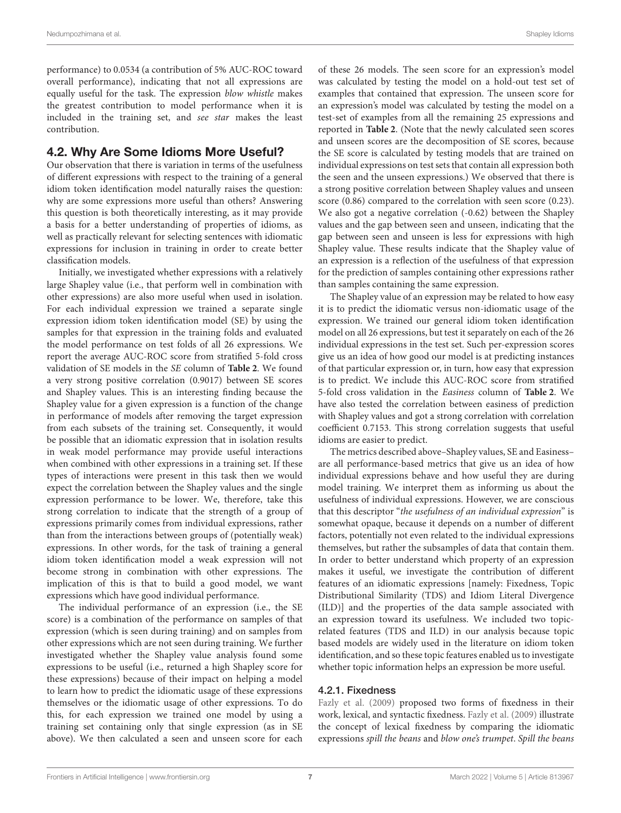performance) to 0.0534 (a contribution of 5% AUC-ROC toward overall performance), indicating that not all expressions are equally useful for the task. The expression blow whistle makes the greatest contribution to model performance when it is included in the training set, and see star makes the least contribution.

### <span id="page-7-0"></span>4.2. Why Are Some Idioms More Useful?

Our observation that there is variation in terms of the usefulness of different expressions with respect to the training of a general idiom token identification model naturally raises the question: why are some expressions more useful than others? Answering this question is both theoretically interesting, as it may provide a basis for a better understanding of properties of idioms, as well as practically relevant for selecting sentences with idiomatic expressions for inclusion in training in order to create better classification models.

Initially, we investigated whether expressions with a relatively large Shapley value (i.e., that perform well in combination with other expressions) are also more useful when used in isolation. For each individual expression we trained a separate single expression idiom token identification model (SE) by using the samples for that expression in the training folds and evaluated the model performance on test folds of all 26 expressions. We report the average AUC-ROC score from stratified 5-fold cross validation of SE models in the SE column of **[Table 2](#page-6-0)**. We found a very strong positive correlation (0.9017) between SE scores and Shapley values. This is an interesting finding because the Shapley value for a given expression is a function of the change in performance of models after removing the target expression from each subsets of the training set. Consequently, it would be possible that an idiomatic expression that in isolation results in weak model performance may provide useful interactions when combined with other expressions in a training set. If these types of interactions were present in this task then we would expect the correlation between the Shapley values and the single expression performance to be lower. We, therefore, take this strong correlation to indicate that the strength of a group of expressions primarily comes from individual expressions, rather than from the interactions between groups of (potentially weak) expressions. In other words, for the task of training a general idiom token identification model a weak expression will not become strong in combination with other expressions. The implication of this is that to build a good model, we want expressions which have good individual performance.

The individual performance of an expression (i.e., the SE score) is a combination of the performance on samples of that expression (which is seen during training) and on samples from other expressions which are not seen during training. We further investigated whether the Shapley value analysis found some expressions to be useful (i.e., returned a high Shapley score for these expressions) because of their impact on helping a model to learn how to predict the idiomatic usage of these expressions themselves or the idiomatic usage of other expressions. To do this, for each expression we trained one model by using a training set containing only that single expression (as in SE above). We then calculated a seen and unseen score for each of these 26 models. The seen score for an expression's model was calculated by testing the model on a hold-out test set of examples that contained that expression. The unseen score for an expression's model was calculated by testing the model on a test-set of examples from all the remaining 25 expressions and reported in **[Table 2](#page-6-0)**. (Note that the newly calculated seen scores and unseen scores are the decomposition of SE scores, because the SE score is calculated by testing models that are trained on individual expressions on test sets that contain all expression both the seen and the unseen expressions.) We observed that there is a strong positive correlation between Shapley values and unseen score (0.86) compared to the correlation with seen score (0.23). We also got a negative correlation (-0.62) between the Shapley values and the gap between seen and unseen, indicating that the gap between seen and unseen is less for expressions with high Shapley value. These results indicate that the Shapley value of an expression is a reflection of the usefulness of that expression for the prediction of samples containing other expressions rather than samples containing the same expression.

The Shapley value of an expression may be related to how easy it is to predict the idiomatic versus non-idiomatic usage of the expression. We trained our general idiom token identification model on all 26 expressions, but test it separately on each of the 26 individual expressions in the test set. Such per-expression scores give us an idea of how good our model is at predicting instances of that particular expression or, in turn, how easy that expression is to predict. We include this AUC-ROC score from stratified 5-fold cross validation in the Easiness column of **[Table 2](#page-6-0)**. We have also tested the correlation between easiness of prediction with Shapley values and got a strong correlation with correlation coefficient 0.7153. This strong correlation suggests that useful idioms are easier to predict.

The metrics described above–Shapley values, SE and Easiness– are all performance-based metrics that give us an idea of how individual expressions behave and how useful they are during model training. We interpret them as informing us about the usefulness of individual expressions. However, we are conscious that this descriptor "the usefulness of an individual expression" is somewhat opaque, because it depends on a number of different factors, potentially not even related to the individual expressions themselves, but rather the subsamples of data that contain them. In order to better understand which property of an expression makes it useful, we investigate the contribution of different features of an idiomatic expressions [namely: Fixedness, Topic Distributional Similarity (TDS) and Idiom Literal Divergence (ILD)] and the properties of the data sample associated with an expression toward its usefulness. We included two topicrelated features (TDS and ILD) in our analysis because topic based models are widely used in the literature on idiom token identification, and so these topic features enabled us to investigate whether topic information helps an expression be more useful.

#### 4.2.1. Fixedness

[Fazly et al. \(2009\)](#page-10-4) proposed two forms of fixedness in their work, lexical, and syntactic fixedness. [Fazly et al. \(2009\)](#page-10-4) illustrate the concept of lexical fixedness by comparing the idiomatic expressions spill the beans and blow one's trumpet. Spill the beans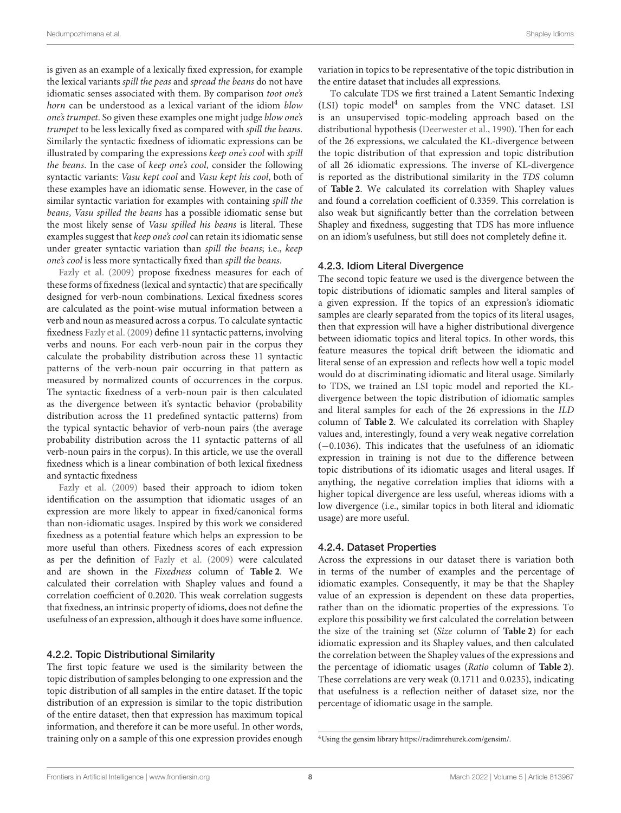is given as an example of a lexically fixed expression, for example the lexical variants spill the peas and spread the beans do not have idiomatic senses associated with them. By comparison toot one's horn can be understood as a lexical variant of the idiom blow one's trumpet. So given these examples one might judge blow one's trumpet to be less lexically fixed as compared with spill the beans. Similarly the syntactic fixedness of idiomatic expressions can be illustrated by comparing the expressions keep one's cool with spill the beans. In the case of keep one's cool, consider the following syntactic variants: Vasu kept cool and Vasu kept his cool, both of these examples have an idiomatic sense. However, in the case of similar syntactic variation for examples with containing spill the beans, Vasu spilled the beans has a possible idiomatic sense but the most likely sense of Vasu spilled his beans is literal. These examples suggest that keep one's cool can retain its idiomatic sense under greater syntactic variation than spill the beans; i.e., keep one's cool is less more syntactically fixed than spill the beans.

[Fazly et al. \(2009\)](#page-10-4) propose fixedness measures for each of these forms of fixedness (lexical and syntactic) that are specifically designed for verb-noun combinations. Lexical fixedness scores are calculated as the point-wise mutual information between a verb and noun as measured across a corpus. To calculate syntactic fixedness [Fazly et al. \(2009\)](#page-10-4) define 11 syntactic patterns, involving verbs and nouns. For each verb-noun pair in the corpus they calculate the probability distribution across these 11 syntactic patterns of the verb-noun pair occurring in that pattern as measured by normalized counts of occurrences in the corpus. The syntactic fixedness of a verb-noun pair is then calculated as the divergence between it's syntactic behavior (probability distribution across the 11 predefined syntactic patterns) from the typical syntactic behavior of verb-noun pairs (the average probability distribution across the 11 syntactic patterns of all verb-noun pairs in the corpus). In this article, we use the overall fixedness which is a linear combination of both lexical fixedness and syntactic fixedness

[Fazly et al. \(2009\)](#page-10-4) based their approach to idiom token identification on the assumption that idiomatic usages of an expression are more likely to appear in fixed/canonical forms than non-idiomatic usages. Inspired by this work we considered fixedness as a potential feature which helps an expression to be more useful than others. Fixedness scores of each expression as per the definition of [Fazly et al. \(2009\)](#page-10-4) were calculated and are shown in the Fixedness column of **[Table 2](#page-6-0)**. We calculated their correlation with Shapley values and found a correlation coefficient of 0.2020. This weak correlation suggests that fixedness, an intrinsic property of idioms, does not define the usefulness of an expression, although it does have some influence.

#### 4.2.2. Topic Distributional Similarity

The first topic feature we used is the similarity between the topic distribution of samples belonging to one expression and the topic distribution of all samples in the entire dataset. If the topic distribution of an expression is similar to the topic distribution of the entire dataset, then that expression has maximum topical information, and therefore it can be more useful. In other words, training only on a sample of this one expression provides enough variation in topics to be representative of the topic distribution in the entire dataset that includes all expressions.

To calculate TDS we first trained a Latent Semantic Indexing (LSI) topic model<sup>[4](#page-8-0)</sup> on samples from the VNC dataset. LSI is an unsupervised topic-modeling approach based on the distributional hypothesis [\(Deerwester et al., 1990\)](#page-10-8). Then for each of the 26 expressions, we calculated the KL-divergence between the topic distribution of that expression and topic distribution of all 26 idiomatic expressions. The inverse of KL-divergence is reported as the distributional similarity in the TDS column of **[Table 2](#page-6-0)**. We calculated its correlation with Shapley values and found a correlation coefficient of 0.3359. This correlation is also weak but significantly better than the correlation between Shapley and fixedness, suggesting that TDS has more influence on an idiom's usefulness, but still does not completely define it.

#### 4.2.3. Idiom Literal Divergence

The second topic feature we used is the divergence between the topic distributions of idiomatic samples and literal samples of a given expression. If the topics of an expression's idiomatic samples are clearly separated from the topics of its literal usages, then that expression will have a higher distributional divergence between idiomatic topics and literal topics. In other words, this feature measures the topical drift between the idiomatic and literal sense of an expression and reflects how well a topic model would do at discriminating idiomatic and literal usage. Similarly to TDS, we trained an LSI topic model and reported the KLdivergence between the topic distribution of idiomatic samples and literal samples for each of the 26 expressions in the ILD column of **[Table 2](#page-6-0)**. We calculated its correlation with Shapley values and, interestingly, found a very weak negative correlation (−0.1036). This indicates that the usefulness of an idiomatic expression in training is not due to the difference between topic distributions of its idiomatic usages and literal usages. If anything, the negative correlation implies that idioms with a higher topical divergence are less useful, whereas idioms with a low divergence (i.e., similar topics in both literal and idiomatic usage) are more useful.

#### 4.2.4. Dataset Properties

Across the expressions in our dataset there is variation both in terms of the number of examples and the percentage of idiomatic examples. Consequently, it may be that the Shapley value of an expression is dependent on these data properties, rather than on the idiomatic properties of the expressions. To explore this possibility we first calculated the correlation between the size of the training set (Size column of **[Table 2](#page-6-0)**) for each idiomatic expression and its Shapley values, and then calculated the correlation between the Shapley values of the expressions and the percentage of idiomatic usages (Ratio column of **[Table 2](#page-6-0)**). These correlations are very weak (0.1711 and 0.0235), indicating that usefulness is a reflection neither of dataset size, nor the percentage of idiomatic usage in the sample.

<span id="page-8-0"></span><sup>4</sup>Using the gensim library [https://radimrehurek.com/gensim/.](https://radimrehurek.com/gensim/)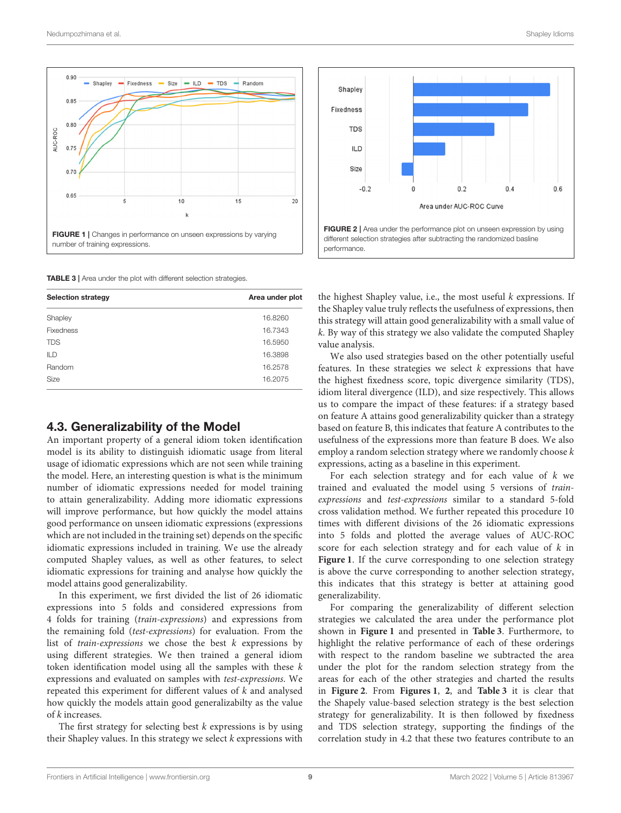

<span id="page-9-1"></span><span id="page-9-0"></span>TABLE 3 | Area under the plot with different selection strategies.

| <b>Selection strategy</b> | Area under plot |  |  |  |
|---------------------------|-----------------|--|--|--|
| Shapley                   | 16.8260         |  |  |  |
| <b>Fixedness</b>          | 16.7343         |  |  |  |
| <b>TDS</b>                | 16.5950         |  |  |  |
| <b>ILD</b>                | 16.3898         |  |  |  |
| Random                    | 16.2578         |  |  |  |
| Size                      | 16.2075         |  |  |  |

#### 4.3. Generalizability of the Model

An important property of a general idiom token identification model is its ability to distinguish idiomatic usage from literal usage of idiomatic expressions which are not seen while training the model. Here, an interesting question is what is the minimum number of idiomatic expressions needed for model training to attain generalizability. Adding more idiomatic expressions will improve performance, but how quickly the model attains good performance on unseen idiomatic expressions (expressions which are not included in the training set) depends on the specific idiomatic expressions included in training. We use the already computed Shapley values, as well as other features, to select idiomatic expressions for training and analyse how quickly the model attains good generalizability.

In this experiment, we first divided the list of 26 idiomatic expressions into 5 folds and considered expressions from 4 folds for training (train-expressions) and expressions from the remaining fold (test-expressions) for evaluation. From the list of train-expressions we chose the best  $k$  expressions by using different strategies. We then trained a general idiom token identification model using all the samples with these  $k$ expressions and evaluated on samples with test-expressions. We repeated this experiment for different values of k and analysed how quickly the models attain good generalizabilty as the value of k increases.

The first strategy for selecting best  $k$  expressions is by using their Shapley values. In this strategy we select  $k$  expressions with



<span id="page-9-2"></span>the highest Shapley value, i.e., the most useful  $k$  expressions. If the Shapley value truly reflects the usefulness of expressions, then this strategy will attain good generalizability with a small value of k. By way of this strategy we also validate the computed Shapley value analysis.

We also used strategies based on the other potentially useful features. In these strategies we select  $k$  expressions that have the highest fixedness score, topic divergence similarity (TDS), idiom literal divergence (ILD), and size respectively. This allows us to compare the impact of these features: if a strategy based on feature A attains good generalizability quicker than a strategy based on feature B, this indicates that feature A contributes to the usefulness of the expressions more than feature B does. We also employ a random selection strategy where we randomly choose k expressions, acting as a baseline in this experiment.

For each selection strategy and for each value of  $k$  we trained and evaluated the model using 5 versions of trainexpressions and test-expressions similar to a standard 5-fold cross validation method. We further repeated this procedure 10 times with different divisions of the 26 idiomatic expressions into 5 folds and plotted the average values of AUC-ROC score for each selection strategy and for each value of  $k$  in **[Figure 1](#page-9-0)**. If the curve corresponding to one selection strategy is above the curve corresponding to another selection strategy, this indicates that this strategy is better at attaining good generalizability.

For comparing the generalizability of different selection strategies we calculated the area under the performance plot shown in **[Figure 1](#page-9-0)** and presented in **[Table 3](#page-9-1)**. Furthermore, to highlight the relative performance of each of these orderings with respect to the random baseline we subtracted the area under the plot for the random selection strategy from the areas for each of the other strategies and charted the results in **[Figure 2](#page-9-2)**. From **[Figures 1](#page-9-0)**, **[2](#page-9-2)**, and **[Table 3](#page-9-1)** it is clear that the Shapely value-based selection strategy is the best selection strategy for generalizability. It is then followed by fixedness and TDS selection strategy, supporting the findings of the correlation study in [4.2](#page-7-0) that these two features contribute to an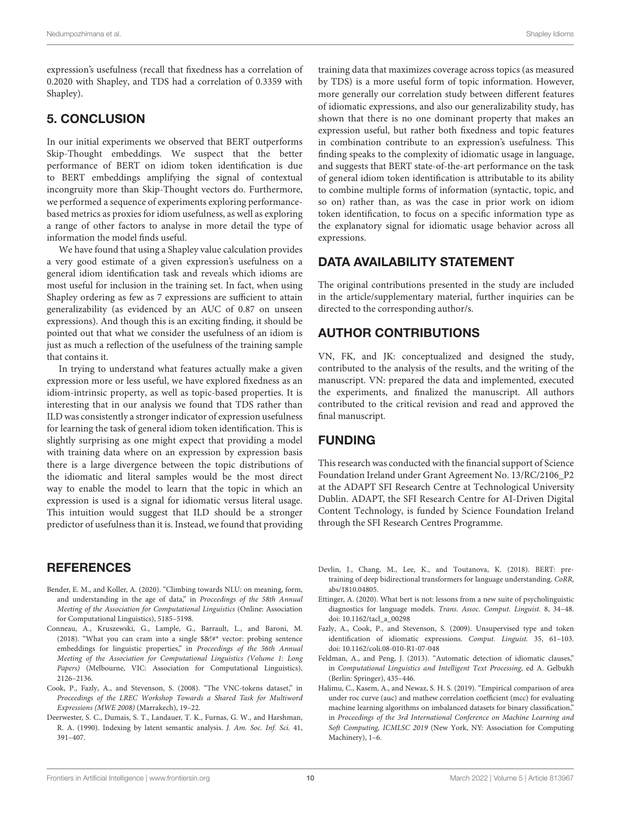expression's usefulness (recall that fixedness has a correlation of 0.2020 with Shapley, and TDS had a correlation of 0.3359 with Shapley).

# 5. CONCLUSION

In our initial experiments we observed that BERT outperforms Skip-Thought embeddings. We suspect that the better performance of BERT on idiom token identification is due to BERT embeddings amplifying the signal of contextual incongruity more than Skip-Thought vectors do. Furthermore, we performed a sequence of experiments exploring performancebased metrics as proxies for idiom usefulness, as well as exploring a range of other factors to analyse in more detail the type of information the model finds useful.

We have found that using a Shapley value calculation provides a very good estimate of a given expression's usefulness on a general idiom identification task and reveals which idioms are most useful for inclusion in the training set. In fact, when using Shapley ordering as few as 7 expressions are sufficient to attain generalizability (as evidenced by an AUC of 0.87 on unseen expressions). And though this is an exciting finding, it should be pointed out that what we consider the usefulness of an idiom is just as much a reflection of the usefulness of the training sample that contains it.

In trying to understand what features actually make a given expression more or less useful, we have explored fixedness as an idiom-intrinsic property, as well as topic-based properties. It is interesting that in our analysis we found that TDS rather than ILD was consistently a stronger indicator of expression usefulness for learning the task of general idiom token identification. This is slightly surprising as one might expect that providing a model with training data where on an expression by expression basis there is a large divergence between the topic distributions of the idiomatic and literal samples would be the most direct way to enable the model to learn that the topic in which an expression is used is a signal for idiomatic versus literal usage. This intuition would suggest that ILD should be a stronger predictor of usefulness than it is. Instead, we found that providing

# **REFERENCES**

- <span id="page-10-1"></span>Bender, E. M., and Koller, A. (2020). "Climbing towards NLU: on meaning, form, and understanding in the age of data," in Proceedings of the 58th Annual Meeting of the Association for Computational Linguistics (Online: Association for Computational Linguistics), 5185–5198.
- <span id="page-10-2"></span>Conneau, A., Kruszewski, G., Lample, G., Barrault, L., and Baroni, M. (2018). "What you can cram into a single \$&!#\* vector: probing sentence embeddings for linguistic properties," in Proceedings of the 56th Annual Meeting of the Association for Computational Linguistics (Volume 1: Long Papers) (Melbourne, VIC: Association for Computational Linguistics), 2126–2136.
- <span id="page-10-6"></span>Cook, P., Fazly, A., and Stevenson, S. (2008). "The VNC-tokens dataset," in Proceedings of the LREC Workshop Towards a Shared Task for Multiword Expressions (MWE 2008) (Marrakech), 19–22.
- <span id="page-10-8"></span>Deerwester, S. C., Dumais, S. T., Landauer, T. K., Furnas, G. W., and Harshman, R. A. (1990). Indexing by latent semantic analysis. J. Am. Soc. Inf. Sci. 41, 391–407.

training data that maximizes coverage across topics (as measured by TDS) is a more useful form of topic information. However, more generally our correlation study between different features of idiomatic expressions, and also our generalizability study, has shown that there is no one dominant property that makes an expression useful, but rather both fixedness and topic features in combination contribute to an expression's usefulness. This finding speaks to the complexity of idiomatic usage in language, and suggests that BERT state-of-the-art performance on the task of general idiom token identification is attributable to its ability to combine multiple forms of information (syntactic, topic, and so on) rather than, as was the case in prior work on idiom token identification, to focus on a specific information type as the explanatory signal for idiomatic usage behavior across all expressions.

# DATA AVAILABILITY STATEMENT

The original contributions presented in the study are included in the article/supplementary material, further inquiries can be directed to the corresponding author/s.

# AUTHOR CONTRIBUTIONS

VN, FK, and JK: conceptualized and designed the study, contributed to the analysis of the results, and the writing of the manuscript. VN: prepared the data and implemented, executed the experiments, and finalized the manuscript. All authors contributed to the critical revision and read and approved the final manuscript.

# FUNDING

This research was conducted with the financial support of Science Foundation Ireland under Grant Agreement No. 13/RC/2106\_P2 at the ADAPT SFI Research Centre at Technological University Dublin. ADAPT, the SFI Research Centre for AI-Driven Digital Content Technology, is funded by Science Foundation Ireland through the SFI Research Centres Programme.

- <span id="page-10-0"></span>Devlin, J., Chang, M., Lee, K., and Toutanova, K. (2018). BERT: pretraining of deep bidirectional transformers for language understanding. CoRR, abs/1810.04805.
- <span id="page-10-3"></span>Ettinger, A. (2020). What bert is not: lessons from a new suite of psycholinguistic diagnostics for language models. Trans. Assoc. Comput. Linguist. 8, 34–48. doi: [10.1162/tacl\\_a\\_00298](https://doi.org/10.1162/tacl_a_00298)
- <span id="page-10-4"></span>Fazly, A., Cook, P., and Stevenson, S. (2009). Unsupervised type and token identification of idiomatic expressions. Comput. Linguist. 35, 61–103. doi: [10.1162/coli.08-010-R1-07-048](https://doi.org/10.1162/coli.08-010-R1-07-048)
- <span id="page-10-5"></span>Feldman, A., and Peng, J. (2013). "Automatic detection of idiomatic clauses," in Computational Linguistics and Intelligent Text Processing, ed A. Gelbukh (Berlin: Springer), 435–446.
- <span id="page-10-7"></span>Halimu, C., Kasem, A., and Newaz, S. H. S. (2019). "Empirical comparison of area under roc curve (auc) and mathew correlation coefficient (mcc) for evaluating machine learning algorithms on imbalanced datasets for binary classification," in Proceedings of the 3rd International Conference on Machine Learning and Soft Computing, ICMLSC 2019 (New York, NY: Association for Computing Machinery), 1–6.